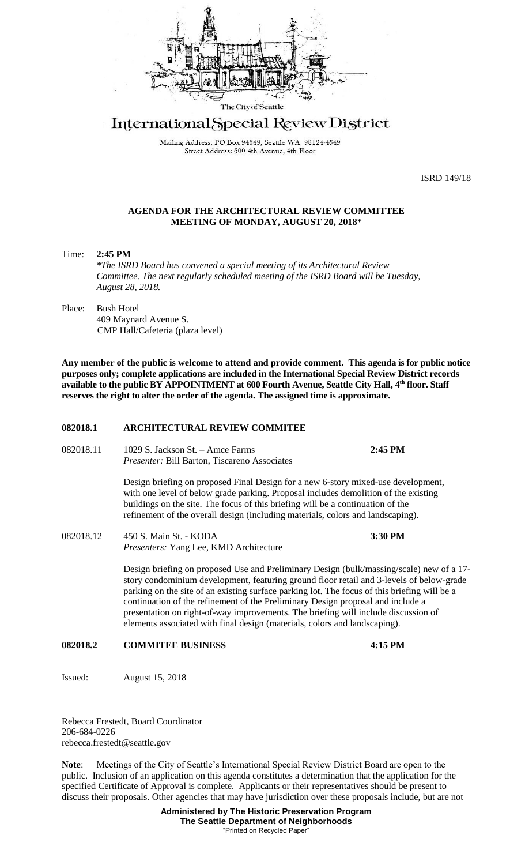

## International Special Review District

Mailing Address: PO Box 94649, Seattle WA 98124-4649 Street Address: 600 4th Avenue, 4th Floor

ISRD 149/18

## **AGENDA FOR THE ARCHITECTURAL REVIEW COMMITTEE MEETING OF MONDAY, AUGUST 20, 2018\***

Time: **2:45 PM** *\*The ISRD Board has convened a special meeting of its Architectural Review Committee. The next regularly scheduled meeting of the ISRD Board will be Tuesday, August 28, 2018.*

Place: Bush Hotel 409 Maynard Avenue S. CMP Hall/Cafeteria (plaza level)

**Any member of the public is welcome to attend and provide comment. This agenda is for public notice purposes only; complete applications are included in the International Special Review District records available to the public BY APPOINTMENT at 600 Fourth Avenue, Seattle City Hall, 4th floor. Staff reserves the right to alter the order of the agenda. The assigned time is approximate.** 

## **082018.1 ARCHITECTURAL REVIEW COMMITEE**

082018.11 1029 S. Jackson St. – Amce Farms **2:45 PM** *Presenter:* Bill Barton, Tiscareno Associates

> Design briefing on proposed Final Design for a new 6-story mixed-use development, with one level of below grade parking. Proposal includes demolition of the existing buildings on the site. The focus of this briefing will be a continuation of the refinement of the overall design (including materials, colors and landscaping).

082018.12 450 S. Main St. - KODA **3:30 PM** *Presenters:* Yang Lee, KMD Architecture

> Design briefing on proposed Use and Preliminary Design (bulk/massing/scale) new of a 17 story condominium development, featuring ground floor retail and 3-levels of below-grade parking on the site of an existing surface parking lot. The focus of this briefing will be a continuation of the refinement of the Preliminary Design proposal and include a presentation on right-of-way improvements. The briefing will include discussion of elements associated with final design (materials, colors and landscaping).

## **082018.2 COMMITEE BUSINESS 4:15 PM**

Issued: August 15, 2018

Rebecca Frestedt, Board Coordinator 206-684-0226 rebecca.frestedt@seattle.gov

**Note**: Meetings of the City of Seattle's International Special Review District Board are open to the public. Inclusion of an application on this agenda constitutes a determination that the application for the specified Certificate of Approval is complete. Applicants or their representatives should be present to discuss their proposals. Other agencies that may have jurisdiction over these proposals include, but are not

> **Administered by The Historic Preservation Program The Seattle Department of Neighborhoods** "Printed on Recycled Paper"